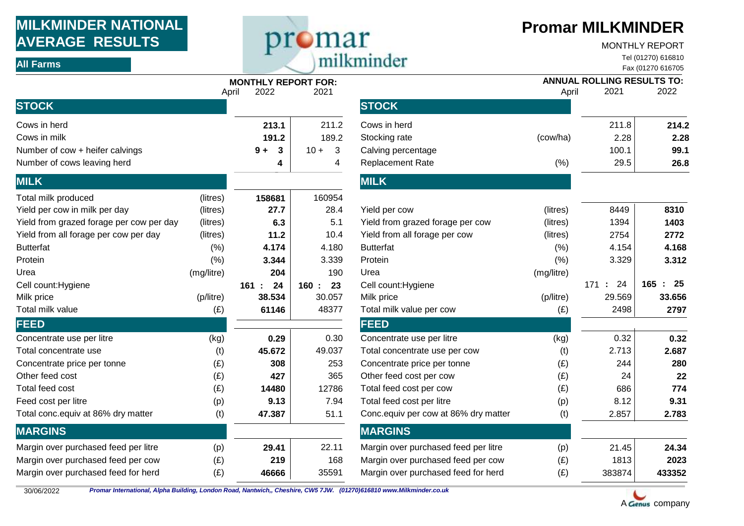## **MILKMINDER NATIONAL AVERAGE RESULTS**  AVERAGE RESULTS<br>
ALL Farms
MONTHLY REPORT
ALL Farms
MONTHLY REPORT
MONTHLY REPORT
MONTHLY REPORT
MONTHLY REPORT
MONTHLY REPORT
MONTHLY REPORT
MONTHLY REPORT
MONTHLY REPORT
MONTHLY REPORT
MONTHLY REPORT
MONTHLY REPORT
MONTH

## **Promar MILKMINDER**

MONTHLY REPORT

Tel (01270) 616810

|                                          |            | <b>MONTHLY REPORT FOR:</b><br>2022<br>2021<br>April |                                   |                                      | <b>ANNUAL ROLLING RESULTS TO:</b><br>2021<br>2022<br>April |            |                        |
|------------------------------------------|------------|-----------------------------------------------------|-----------------------------------|--------------------------------------|------------------------------------------------------------|------------|------------------------|
| <b>STOCK</b>                             |            |                                                     |                                   | <b>STOCK</b>                         |                                                            |            |                        |
| Cows in herd                             |            | 213.1                                               | 211.2                             | Cows in herd                         |                                                            | 211.8      | 214.2                  |
| Cows in milk                             |            | 191.2                                               | 189.2                             | Stocking rate                        | (cow/ha)                                                   | 2.28       | 2.28                   |
| Number of cow + heifer calvings          |            | $\mathbf{3}$<br>$9+$                                | $\overline{\mathbf{3}}$<br>$10 +$ | Calving percentage                   |                                                            | 100.1      | 99.1                   |
| Number of cows leaving herd              |            | 4                                                   | 4                                 | <b>Replacement Rate</b>              | (% )                                                       | 29.5       | 26.8                   |
| <b>MILK</b>                              |            |                                                     |                                   | <b>MILK</b>                          |                                                            |            |                        |
| Total milk produced                      | (litres)   | 158681                                              | 160954                            |                                      |                                                            |            |                        |
| Yield per cow in milk per day            | (litres)   | 27.7                                                | 28.4                              | Yield per cow                        | (litres)                                                   | 8449       | 8310                   |
| Yield from grazed forage per cow per day | (litres)   | 6.3                                                 | 5.1                               | Yield from grazed forage per cow     | (litres)                                                   | 1394       | 1403                   |
| Yield from all forage per cow per day    | (litres)   | 11.2                                                | 10.4                              | Yield from all forage per cow        | (litres)                                                   | 2754       | 2772                   |
| <b>Butterfat</b>                         | (% )       | 4.174                                               | 4.180                             | <b>Butterfat</b>                     | (% )                                                       | 4.154      | 4.168                  |
| Protein                                  | (% )       | 3.344                                               | 3.339                             | Protein                              | (% )                                                       | 3.329      | 3.312                  |
| Urea                                     | (mg/litre) | 204                                                 | 190                               | Urea                                 | (mg/litre)                                                 |            |                        |
| Cell count: Hygiene                      |            | 24<br>161:                                          | 23<br>160 :                       | Cell count: Hygiene                  |                                                            | 24<br>171: | 165<br>$\therefore$ 25 |
| Milk price                               | (p/litre)  | 38.534                                              | 30.057                            | Milk price                           | (p/litre)                                                  | 29.569     | 33.656                 |
| Total milk value                         | (E)        | 61146                                               | 48377                             | Total milk value per cow             | (E)                                                        | 2498       | 2797                   |
| <b>FEED</b>                              |            |                                                     |                                   | <b>FEED</b>                          |                                                            |            |                        |
| Concentrate use per litre                | (kg)       | 0.29                                                | 0.30                              | Concentrate use per litre            | (kg)                                                       | 0.32       | 0.32                   |
| Total concentrate use                    | (t)        | 45.672                                              | 49.037                            | Total concentrate use per cow        | (t)                                                        | 2.713      | 2.687                  |
| Concentrate price per tonne              | (E)        | 308                                                 | 253                               | Concentrate price per tonne          | (E)                                                        | 244        | 280                    |
| Other feed cost                          | (E)        | 427                                                 | 365                               | Other feed cost per cow              | (E)                                                        | 24         | 22                     |
| Total feed cost                          | (E)        | 14480                                               | 12786                             | Total feed cost per cow              | (E)                                                        | 686        | 774                    |
| Feed cost per litre                      | (p)        | 9.13                                                | 7.94                              | Total feed cost per litre            | (p)                                                        | 8.12       | 9.31                   |
| Total conc.equiv at 86% dry matter       | (t)        | 47.387                                              | 51.1                              | Conc.equiv per cow at 86% dry matter | (t)                                                        | 2.857      | 2.783                  |
| <b>MARGINS</b>                           |            |                                                     |                                   | <b>MARGINS</b>                       |                                                            |            |                        |
| Margin over purchased feed per litre     | (p)        | 29.41                                               | 22.11                             | Margin over purchased feed per litre | (p)                                                        | 21.45      | 24.34                  |
| Margin over purchased feed per cow       | (E)        | 219                                                 | 168                               | Margin over purchased feed per cow   | (E)                                                        | 1813       | 2023                   |
| Margin over purchased feed for herd      | (E)        | 46666                                               | 35591                             | Margin over purchased feed for herd  | (E)                                                        | 383874     | 433352                 |

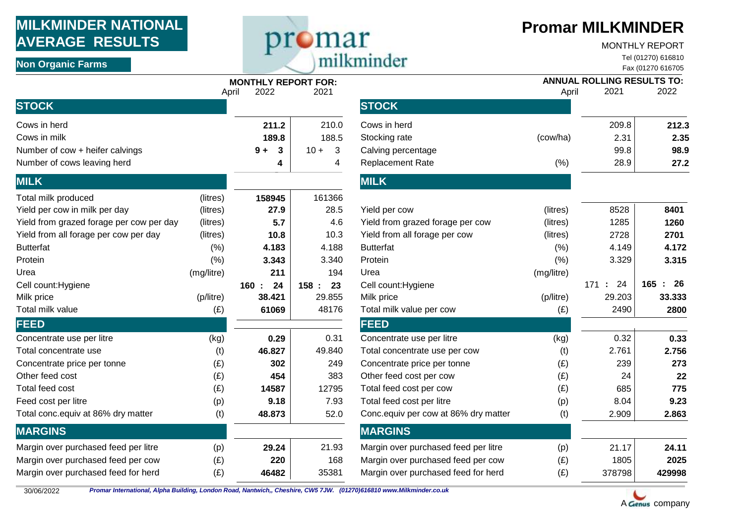## **MILKMINDER NATIONAL AVERAGE RESULTS**  NON ORGANISM **NON ALL PROPERTY AVERAGE RESULTS**<br>
Non Organic Farms<br>
Non Organic Farms<br> **Non Organic Farms**

## **Promar MILKMINDER**

#### MONTHLY REPORT

Tel (01270) 616810

|                                          |            | <b>MONTHLY REPORT FOR:</b> |            |                                      |            | <b>ANNUAL ROLLING RESULTS TO:</b> |             |
|------------------------------------------|------------|----------------------------|------------|--------------------------------------|------------|-----------------------------------|-------------|
| <b>STOCK</b>                             |            | 2022<br>April              | 2021       | <b>STOCK</b>                         | April      | 2021                              | 2022        |
| Cows in herd                             |            | 211.2                      | 210.0      | Cows in herd                         |            | 209.8                             | 212.3       |
| Cows in milk                             |            | 189.8                      | 188.5      | Stocking rate                        | (cow/ha)   | 2.31                              | 2.35        |
| Number of cow + heifer calvings          |            | $\boldsymbol{3}$<br>$9+$   | $10 + 3$   | Calving percentage                   |            | 99.8                              | 98.9        |
| Number of cows leaving herd              |            | 4                          | 4          | <b>Replacement Rate</b>              | (% )       | 28.9                              | 27.2        |
| <b>MILK</b>                              |            |                            |            | <b>MILK</b>                          |            |                                   |             |
| Total milk produced                      | (litres)   | 158945                     | 161366     |                                      |            |                                   |             |
| Yield per cow in milk per day            | (litres)   | 27.9                       | 28.5       | Yield per cow                        | (litres)   | 8528                              | 8401        |
| Yield from grazed forage per cow per day | (litres)   | 5.7                        | 4.6        | Yield from grazed forage per cow     | (litres)   | 1285                              | 1260        |
| Yield from all forage per cow per day    | (litres)   | 10.8                       | 10.3       | Yield from all forage per cow        | (litres)   | 2728                              | 2701        |
| <b>Butterfat</b>                         | (% )       | 4.183                      | 4.188      | <b>Butterfat</b>                     | (% )       | 4.149                             | 4.172       |
| Protein                                  | (% )       | 3.343                      | 3.340      | Protein                              | (% )       | 3.329                             | 3.315       |
| Urea                                     | (mg/litre) | 211                        | 194        | Urea                                 | (mg/litre) |                                   |             |
| Cell count: Hygiene                      |            | 24<br>160:                 | 23<br>158: | Cell count: Hygiene                  |            | 24<br>171:                        | 165<br>- 26 |
| Milk price                               | (p/litre)  | 38.421                     | 29.855     | Milk price                           | (p/litre)  | 29.203                            | 33.333      |
| Total milk value                         | (E)        | 61069                      | 48176      | Total milk value per cow             | (E)        | 2490                              | 2800        |
| <b>FEED</b>                              |            |                            |            | <b>FEED</b>                          |            |                                   |             |
| Concentrate use per litre                | (kg)       | 0.29                       | 0.31       | Concentrate use per litre            | (kg)       | 0.32                              | 0.33        |
| Total concentrate use                    | (t)        | 46.827                     | 49.840     | Total concentrate use per cow        | (t)        | 2.761                             | 2.756       |
| Concentrate price per tonne              | (E)        | 302                        | 249        | Concentrate price per tonne          | (E)        | 239                               | 273         |
| Other feed cost                          | (E)        | 454                        | 383        | Other feed cost per cow              | (E)        | 24                                | 22          |
| Total feed cost                          | (E)        | 14587                      | 12795      | Total feed cost per cow              | (E)        | 685                               | 775         |
| Feed cost per litre                      | (p)        | 9.18                       | 7.93       | Total feed cost per litre            | (p)        | 8.04                              | 9.23        |
| Total conc.equiv at 86% dry matter       | (t)        | 48.873                     | 52.0       | Conc.equiv per cow at 86% dry matter | (t)        | 2.909                             | 2.863       |
| <b>MARGINS</b>                           |            |                            |            | <b>MARGINS</b>                       |            |                                   |             |
| Margin over purchased feed per litre     | (p)        | 29.24                      | 21.93      | Margin over purchased feed per litre | (p)        | 21.17                             | 24.11       |
| Margin over purchased feed per cow       | (E)        | 220                        | 168        | Margin over purchased feed per cow   | (E)        | 1805                              | 2025        |
| Margin over purchased feed for herd      | (E)        | 46482                      | 35381      | Margin over purchased feed for herd  | (E)        | 378798                            | 429998      |